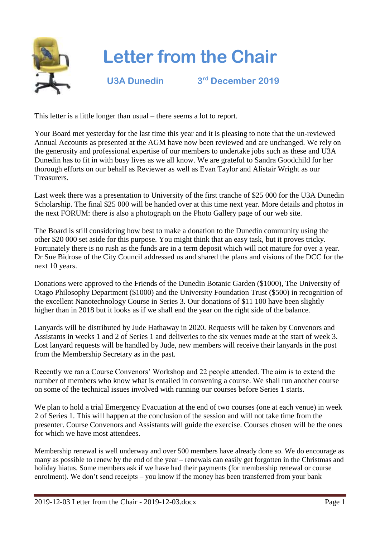

## **Letter from the Chair**

**U3A Dunedin 3**

**rd December 2019**

This letter is a little longer than usual – there seems a lot to report.

Your Board met yesterday for the last time this year and it is pleasing to note that the un-reviewed Annual Accounts as presented at the AGM have now been reviewed and are unchanged. We rely on the generosity and professional expertise of our members to undertake jobs such as these and U3A Dunedin has to fit in with busy lives as we all know. We are grateful to Sandra Goodchild for her thorough efforts on our behalf as Reviewer as well as Evan Taylor and Alistair Wright as our Treasurers.

Last week there was a presentation to University of the first tranche of \$25 000 for the U3A Dunedin Scholarship. The final \$25 000 will be handed over at this time next year. More details and photos in the next FORUM: there is also a photograph on the Photo Gallery page of our web site.

The Board is still considering how best to make a donation to the Dunedin community using the other \$20 000 set aside for this purpose. You might think that an easy task, but it proves tricky. Fortunately there is no rush as the funds are in a term deposit which will not mature for over a year. Dr Sue Bidrose of the City Council addressed us and shared the plans and visions of the DCC for the next 10 years.

Donations were approved to the Friends of the Dunedin Botanic Garden (\$1000), The University of Otago Philosophy Department (\$1000) and the University Foundation Trust (\$500) in recognition of the excellent Nanotechnology Course in Series 3. Our donations of \$11 100 have been slightly higher than in 2018 but it looks as if we shall end the year on the right side of the balance.

Lanyards will be distributed by Jude Hathaway in 2020. Requests will be taken by Convenors and Assistants in weeks 1 and 2 of Series 1 and deliveries to the six venues made at the start of week 3. Lost lanyard requests will be handled by Jude, new members will receive their lanyards in the post from the Membership Secretary as in the past.

Recently we ran a Course Convenors' Workshop and 22 people attended. The aim is to extend the number of members who know what is entailed in convening a course. We shall run another course on some of the technical issues involved with running our courses before Series 1 starts.

We plan to hold a trial Emergency Evacuation at the end of two courses (one at each venue) in week 2 of Series 1. This will happen at the conclusion of the session and will not take time from the presenter. Course Convenors and Assistants will guide the exercise. Courses chosen will be the ones for which we have most attendees.

Membership renewal is well underway and over 500 members have already done so. We do encourage as many as possible to renew by the end of the year – renewals can easily get forgotten in the Christmas and holiday hiatus. Some members ask if we have had their payments (for membership renewal or course enrolment). We don't send receipts – you know if the money has been transferred from your bank